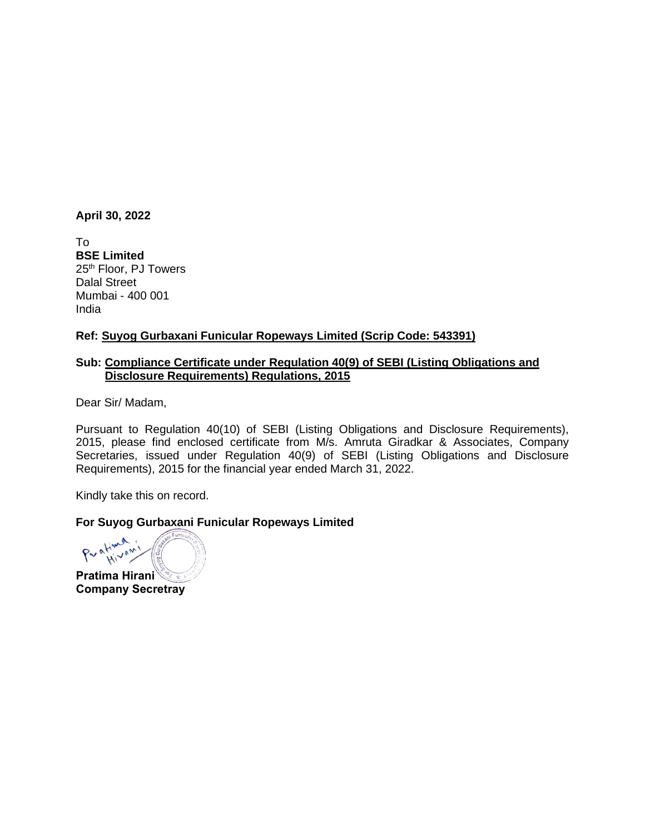#### **April 30, 2022**

To **BSE Limited** 25<sup>th</sup> Floor, PJ Towers Dalal Street Mumbai - 400 001 India

## **Ref: Suyog Gurbaxani Funicular Ropeways Limited (Scrip Code: 543391)**

# **Sub: Compliance Certificate under Regulation 40(9) of SEBI (Listing Obligations and Disclosure Requirements) Regulations, 2015**

Dear Sir/ Madam,

Pursuant to Regulation 40(10) of SEBI (Listing Obligations and Disclosure Requirements), 2015, please find enclosed certificate from M/s. Amruta Giradkar & Associates, Company Secretaries, issued under Regulation 40(9) of SEBI (Listing Obligations and Disclosure Requirements), 2015 for the financial year ended March 31, 2022.

Kindly take this on record.

## **For Suyog Gurbaxani Funicular Ropeways Limited**

ative Hivan **Pratima Hirani**

**Company Secretray**